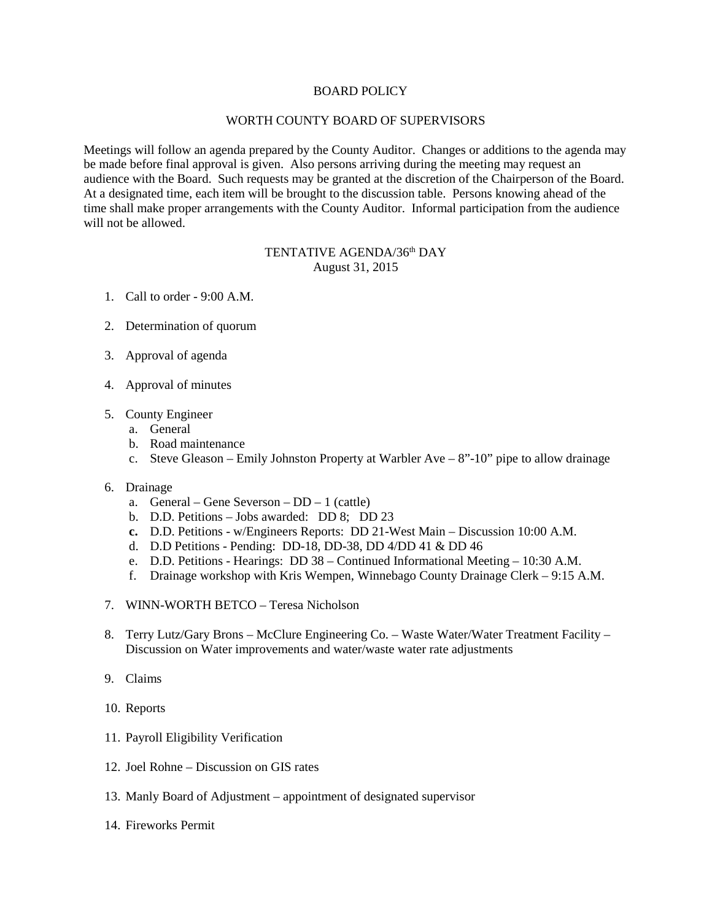## BOARD POLICY

## WORTH COUNTY BOARD OF SUPERVISORS

Meetings will follow an agenda prepared by the County Auditor. Changes or additions to the agenda may be made before final approval is given. Also persons arriving during the meeting may request an audience with the Board. Such requests may be granted at the discretion of the Chairperson of the Board. At a designated time, each item will be brought to the discussion table. Persons knowing ahead of the time shall make proper arrangements with the County Auditor. Informal participation from the audience will not be allowed.

## TENTATIVE AGENDA/36<sup>th</sup> DAY August 31, 2015

- 1. Call to order 9:00 A.M.
- 2. Determination of quorum
- 3. Approval of agenda
- 4. Approval of minutes
- 5. County Engineer
	- a. General
	- b. Road maintenance
	- c. Steve Gleason Emily Johnston Property at Warbler Ave 8"-10" pipe to allow drainage

## 6. Drainage

- a. General Gene Severson DD 1 (cattle)
- b. D.D. Petitions Jobs awarded: DD 8; DD 23
- **c.** D.D. Petitions w/Engineers Reports: DD 21-West Main Discussion 10:00 A.M.
- d. D.D Petitions Pending: DD-18, DD-38, DD 4/DD 41 & DD 46
- e. D.D. Petitions Hearings: DD 38 Continued Informational Meeting 10:30 A.M.
- f. Drainage workshop with Kris Wempen, Winnebago County Drainage Clerk 9:15 A.M.
- 7. WINN-WORTH BETCO Teresa Nicholson
- 8. Terry Lutz/Gary Brons McClure Engineering Co. Waste Water/Water Treatment Facility Discussion on Water improvements and water/waste water rate adjustments
- 9. Claims
- 10. Reports
- 11. Payroll Eligibility Verification
- 12. Joel Rohne Discussion on GIS rates
- 13. Manly Board of Adjustment appointment of designated supervisor
- 14. Fireworks Permit